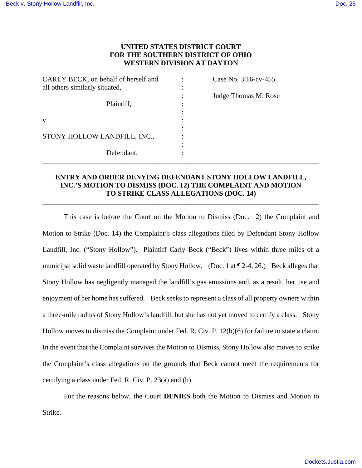# **UNITED STATES DISTRICT COURT FOR THE SOUTHERN DISTRICT OF OHIO WESTERN DIVISION AT DAYTON**

| CARLY BECK, on behalf of herself and | Case No. 3:16-cv-455 |
|--------------------------------------|----------------------|
| all others similarly situated,       |                      |
|                                      | Judge Thomas M. Rose |
| Plaintiff,                           |                      |
|                                      |                      |
| V.                                   |                      |
|                                      |                      |
| STONY HOLLOW LANDFILL, INC.,         |                      |
|                                      |                      |
| Defendant.                           |                      |

# **ENTRY AND ORDER DENYING DEFENDANT STONY HOLLOW LANDFILL, INC.'S MOTION TO DISMISS (DOC. 12) THE COMPLAINT AND MOTION TO STRIKE CLASS ALLEGATIONS (DOC. 14)**

**\_\_\_\_\_\_\_\_\_\_\_\_\_\_\_\_\_\_\_\_\_\_\_\_\_\_\_\_\_\_\_\_\_\_\_\_\_\_\_\_\_\_\_\_\_\_\_\_\_\_\_\_\_\_\_\_\_\_\_\_\_\_\_\_\_\_\_\_\_\_\_\_\_\_\_\_\_\_** 

**\_\_\_\_\_\_\_\_\_\_\_\_\_\_\_\_\_\_\_\_\_\_\_\_\_\_\_\_\_\_\_\_\_\_\_\_\_\_\_\_\_\_\_\_\_\_\_\_\_\_\_\_\_\_\_\_\_\_\_\_\_\_\_\_\_\_\_\_\_\_\_\_\_\_\_\_\_\_** 

This case is before the Court on the Motion to Dismiss (Doc. 12) the Complaint and Motion to Strike (Doc. 14) the Complaint's class allegations filed by Defendant Stony Hollow Landfill, Inc. ("Stony Hollow"). Plaintiff Carly Beck ("Beck") lives within three miles of a municipal solid waste landfill operated by Stony Hollow. (Doc. 1 at ¶ 2-4, 26.) Beck alleges that Stony Hollow has negligently managed the landfill's gas emissions and, as a result, her use and enjoyment of her home has suffered. Beck seeks to represent a class of all property owners within a three-mile radius of Stony Hollow's landfill, but she has not yet moved to certify a class. Stony Hollow moves to dismiss the Complaint under Fed. R. Civ. P. 12(b)(6) for failure to state a claim. In the event that the Complaint survives the Motion to Dismiss, Stony Hollow also moves to strike the Complaint's class allegations on the grounds that Beck cannot meet the requirements for certifying a class under Fed. R. Civ. P. 23(a) and (b).

For the reasons below, the Court **DENIES** both the Motion to Dismiss and Motion to Strike.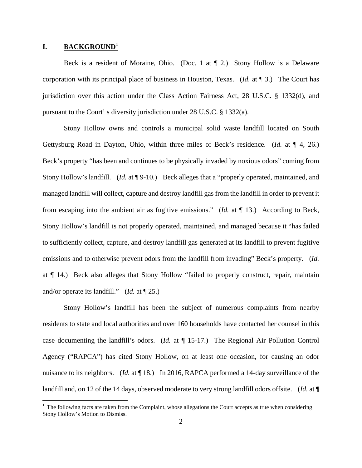### **I. BACKGROUND<sup>1</sup>**

 $\overline{a}$ 

Beck is a resident of Moraine, Ohio. (Doc. 1 at ¶ 2.) Stony Hollow is a Delaware corporation with its principal place of business in Houston, Texas. (*Id.* at ¶ 3.) The Court has jurisdiction over this action under the Class Action Fairness Act, 28 U.S.C. § 1332(d), and pursuant to the Court' s diversity jurisdiction under 28 U.S.C. § 1332(a).

Stony Hollow owns and controls a municipal solid waste landfill located on South Gettysburg Road in Dayton, Ohio, within three miles of Beck's residence. (*Id.* at ¶ 4, 26.) Beck's property "has been and continues to be physically invaded by noxious odors" coming from Stony Hollow's landfill. (*Id.* at ¶ 9-10.) Beck alleges that a "properly operated, maintained, and managed landfill will collect, capture and destroy landfill gas from the landfill in order to prevent it from escaping into the ambient air as fugitive emissions." (*Id.* at ¶ 13.) According to Beck, Stony Hollow's landfill is not properly operated, maintained, and managed because it "has failed to sufficiently collect, capture, and destroy landfill gas generated at its landfill to prevent fugitive emissions and to otherwise prevent odors from the landfill from invading" Beck's property. (*Id.* at ¶ 14.) Beck also alleges that Stony Hollow "failed to properly construct, repair, maintain and/or operate its landfill." (*Id.* at ¶ 25.)

Stony Hollow's landfill has been the subject of numerous complaints from nearby residents to state and local authorities and over 160 households have contacted her counsel in this case documenting the landfill's odors. (*Id.* at ¶ 15-17.) The Regional Air Pollution Control Agency ("RAPCA") has cited Stony Hollow, on at least one occasion, for causing an odor nuisance to its neighbors. (*Id.* at ¶ 18.) In 2016, RAPCA performed a 14-day surveillance of the landfill and, on 12 of the 14 days, observed moderate to very strong landfill odors offsite. (*Id.* at  $\P$ 

 $<sup>1</sup>$  The following facts are taken from the Complaint, whose allegations the Court accepts as true when considering</sup> Stony Hollow's Motion to Dismiss.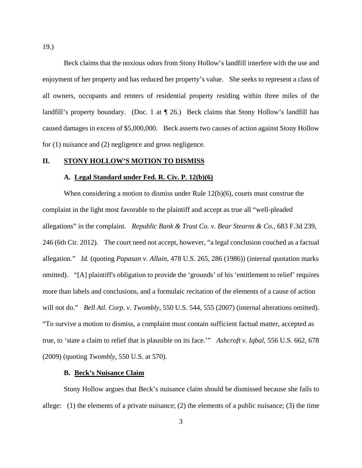Beck claims that the noxious odors from Stony Hollow's landfill interfere with the use and enjoyment of her property and has reduced her property's value. She seeks to represent a class of all owners, occupants and renters of residential property residing within three miles of the landfill's property boundary. (Doc. 1 at  $\P$  26.) Beck claims that Stony Hollow's landfill has caused damages in excess of \$5,000,000. Beck asserts two causes of action against Stony Hollow for (1) nuisance and (2) negligence and gross negligence.

### **II. STONY HOLLOW'S MOTION TO DISMISS**

#### **A. Legal Standard under Fed. R. Civ. P. 12(b)(6)**

When considering a motion to dismiss under Rule 12(b)(6), courts must construe the complaint in the light most favorable to the plaintiff and accept as true all "well-pleaded allegations" in the complaint. *Republic Bank & Trust Co. v. Bear Stearns & Co.*, 683 F.3d 239, 246 (6th Cir. 2012). The court need not accept, however, "a legal conclusion couched as a factual allegation." *Id.* (quoting *Papasan v. Allain*, 478 U.S. 265, 286 (1986)) (internal quotation marks omitted). "[A] plaintiff's obligation to provide the 'grounds' of his 'entitlement to relief' requires more than labels and conclusions, and a formulaic recitation of the elements of a cause of action will not do." *Bell Atl. Corp. v. Twombly*, 550 U.S. 544, 555 (2007) (internal alterations omitted). "To survive a motion to dismiss, a complaint must contain sufficient factual matter, accepted as true, to 'state a claim to relief that is plausible on its face.'" *Ashcroft v. Iqbal*, 556 U.S. 662, 678 (2009) (quoting *Twombly*, 550 U.S. at 570).

### **B. Beck's Nuisance Claim**

Stony Hollow argues that Beck's nuisance claim should be dismissed because she fails to allege: (1) the elements of a private nuisance; (2) the elements of a public nuisance; (3) the time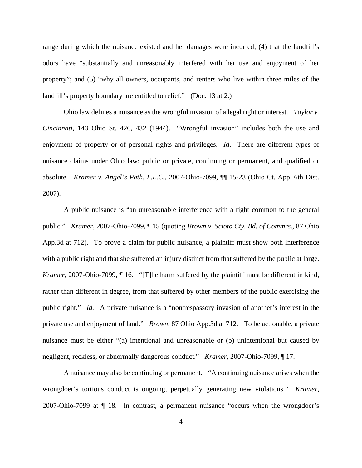range during which the nuisance existed and her damages were incurred; (4) that the landfill's odors have "substantially and unreasonably interfered with her use and enjoyment of her property"; and (5) "why all owners, occupants, and renters who live within three miles of the landfill's property boundary are entitled to relief." (Doc. 13 at 2.)

Ohio law defines a nuisance as the wrongful invasion of a legal right or interest. *Taylor v. Cincinnati*, 143 Ohio St. 426, 432 (1944). "Wrongful invasion" includes both the use and enjoyment of property or of personal rights and privileges. *Id*. There are different types of nuisance claims under Ohio law: public or private, continuing or permanent, and qualified or absolute. *Kramer v. Angel's Path, L.L.C.*, 2007-Ohio-7099, ¶¶ 15-23 (Ohio Ct. App. 6th Dist. 2007).

A public nuisance is "an unreasonable interference with a right common to the general public." *Kramer*, 2007-Ohio-7099, ¶ 15 (quoting *Brown v. Scioto Cty. Bd. of Commrs.*, 87 Ohio App.3d at 712). To prove a claim for public nuisance, a plaintiff must show both interference with a public right and that she suffered an injury distinct from that suffered by the public at large. *Kramer*, 2007-Ohio-7099, ¶ 16. "[T]he harm suffered by the plaintiff must be different in kind, rather than different in degree, from that suffered by other members of the public exercising the public right." *Id.* A private nuisance is a "nontrespassory invasion of another's interest in the private use and enjoyment of land." *Brown*, 87 Ohio App.3d at 712. To be actionable, a private nuisance must be either "(a) intentional and unreasonable or (b) unintentional but caused by negligent, reckless, or abnormally dangerous conduct." *Kramer*, 2007-Ohio-7099, ¶ 17.

A nuisance may also be continuing or permanent. "A continuing nuisance arises when the wrongdoer's tortious conduct is ongoing, perpetually generating new violations." *Kramer*, 2007-Ohio-7099 at ¶ 18. In contrast, a permanent nuisance "occurs when the wrongdoer's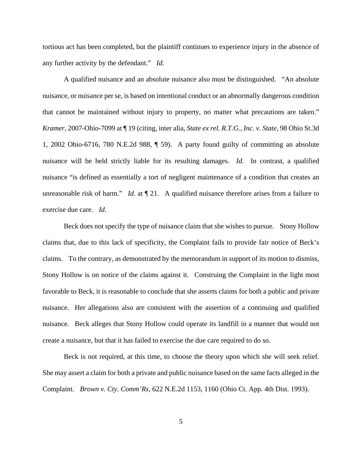tortious act has been completed, but the plaintiff continues to experience injury in the absence of any further activity by the defendant." *Id.*

A qualified nuisance and an absolute nuisance also must be distinguished. "An absolute nuisance, or nuisance per se, is based on intentional conduct or an abnormally dangerous condition that cannot be maintained without injury to property, no matter what precautions are taken." *Kramer*, 2007-Ohio-7099 at ¶ 19 (citing, inter alia, *State ex rel. R.T.G., Inc. v. State*, 98 Ohio St.3d 1, 2002 Ohio-6716, 780 N.E.2d 988, ¶ 59). A party found guilty of committing an absolute nuisance will be held strictly liable for its resulting damages. *Id.* In contrast, a qualified nuisance "is defined as essentially a tort of negligent maintenance of a condition that creates an unreasonable risk of harm." *Id.* at  $\P$  21. A qualified nuisance therefore arises from a failure to exercise due care. *Id.*

Beck does not specify the type of nuisance claim that she wishes to pursue. Stony Hollow claims that, due to this lack of specificity, the Complaint fails to provide fair notice of Beck's claims. To the contrary, as demonstrated by the memorandum in support of its motion to dismiss, Stony Hollow is on notice of the claims against it. Construing the Complaint in the light most favorable to Beck, it is reasonable to conclude that she asserts claims for both a public and private nuisance. Her allegations also are consistent with the assertion of a continuing and qualified nuisance. Beck alleges that Stony Hollow could operate its landfill in a manner that would not create a nuisance, but that it has failed to exercise the due care required to do so.

Beck is not required, at this time, to choose the theory upon which she will seek relief. She may assert a claim for both a private and public nuisance based on the same facts alleged in the Complaint. *Brown v. Cty. Comm'Rs*, 622 N.E.2d 1153, 1160 (Ohio Ct. App. 4th Dist. 1993).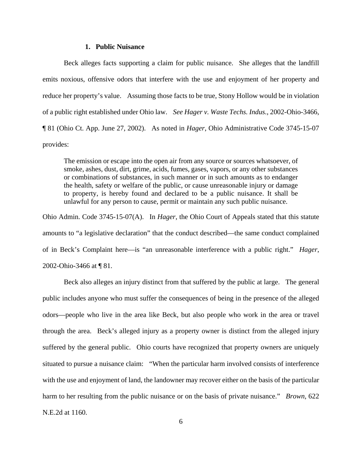#### **1. Public Nuisance**

Beck alleges facts supporting a claim for public nuisance. She alleges that the landfill emits noxious, offensive odors that interfere with the use and enjoyment of her property and reduce her property's value. Assuming those facts to be true, Stony Hollow would be in violation of a public right established under Ohio law. *See Hager v. Waste Techs. Indus.*, 2002-Ohio-3466, ¶ 81 (Ohio Ct. App. June 27, 2002). As noted in *Hager*, Ohio Administrative Code 3745-15-07 provides:

The emission or escape into the open air from any source or sources whatsoever, of smoke, ashes, dust, dirt, grime, acids, fumes, gases, vapors, or any other substances or combinations of substances, in such manner or in such amounts as to endanger the health, safety or welfare of the public, or cause unreasonable injury or damage to property, is hereby found and declared to be a public nuisance. It shall be unlawful for any person to cause, permit or maintain any such public nuisance.

Ohio Admin. Code 3745-15-07(A). In *Hager*, the Ohio Court of Appeals stated that this statute amounts to "a legislative declaration" that the conduct described—the same conduct complained of in Beck's Complaint here—is "an unreasonable interference with a public right." *Hager*, 2002-Ohio-3466 at ¶ 81.

Beck also alleges an injury distinct from that suffered by the public at large. The general public includes anyone who must suffer the consequences of being in the presence of the alleged odors—people who live in the area like Beck, but also people who work in the area or travel through the area. Beck's alleged injury as a property owner is distinct from the alleged injury suffered by the general public. Ohio courts have recognized that property owners are uniquely situated to pursue a nuisance claim: "When the particular harm involved consists of interference with the use and enjoyment of land, the landowner may recover either on the basis of the particular harm to her resulting from the public nuisance or on the basis of private nuisance." *Brown*, 622 N.E.2d at 1160.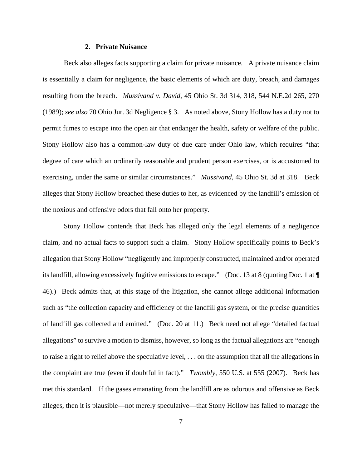#### **2. Private Nuisance**

Beck also alleges facts supporting a claim for private nuisance. A private nuisance claim is essentially a claim for negligence, the basic elements of which are duty, breach, and damages resulting from the breach. *Mussivand v. David*, 45 Ohio St. 3d 314, 318, 544 N.E.2d 265, 270 (1989); *see also* 70 Ohio Jur. 3d Negligence § 3. As noted above, Stony Hollow has a duty not to permit fumes to escape into the open air that endanger the health, safety or welfare of the public. Stony Hollow also has a common-law duty of due care under Ohio law, which requires "that degree of care which an ordinarily reasonable and prudent person exercises, or is accustomed to exercising, under the same or similar circumstances." *Mussivand*, 45 Ohio St. 3d at 318. Beck alleges that Stony Hollow breached these duties to her, as evidenced by the landfill's emission of the noxious and offensive odors that fall onto her property.

Stony Hollow contends that Beck has alleged only the legal elements of a negligence claim, and no actual facts to support such a claim. Stony Hollow specifically points to Beck's allegation that Stony Hollow "negligently and improperly constructed, maintained and/or operated its landfill, allowing excessively fugitive emissions to escape." (Doc. 13 at 8 (quoting Doc. 1 at ¶ 46).) Beck admits that, at this stage of the litigation, she cannot allege additional information such as "the collection capacity and efficiency of the landfill gas system, or the precise quantities of landfill gas collected and emitted." (Doc. 20 at 11.) Beck need not allege "detailed factual allegations" to survive a motion to dismiss, however, so long as the factual allegations are "enough to raise a right to relief above the speculative level, . . . on the assumption that all the allegations in the complaint are true (even if doubtful in fact)." *Twombly*, 550 U.S. at 555 (2007). Beck has met this standard. If the gases emanating from the landfill are as odorous and offensive as Beck alleges, then it is plausible—not merely speculative—that Stony Hollow has failed to manage the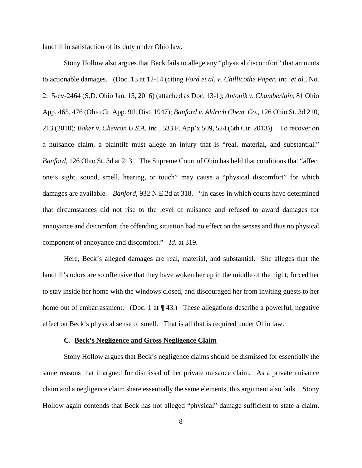landfill in satisfaction of its duty under Ohio law.

Stony Hollow also argues that Beck fails to allege any "physical discomfort" that amounts to actionable damages. (Doc. 13 at 12-14 (citing *Ford et al. v. Chillicothe Paper, Inc. et al.*, No. 2:15-cv-2464 (S.D. Ohio Jan. 15, 2016) (attached as Doc. 13-1); *Antonik v. Chamberlain*, 81 Ohio App. 465, 476 (Ohio Ct. App. 9th Dist. 1947); *Banford v. Aldrich Chem. Co.*, 126 Ohio St. 3d 210, 213 (2010); *Baker v. Chevron U.S.A. Inc.*, 533 F. App'x 509, 524 (6th Cir. 2013)). To recover on a nuisance claim, a plaintiff must allege an injury that is "real, material, and substantial." *Banford*, 126 Ohio St. 3d at 213. The Supreme Court of Ohio has held that conditions that "affect one's sight, sound, smell, hearing, or touch" may cause a "physical discomfort" for which damages are available. *Banford*, 932 N.E.2d at 318. "In cases in which courts have determined that circumstances did not rise to the level of nuisance and refused to award damages for annoyance and discomfort, the offending situation had no effect on the senses and thus no physical component of annoyance and discomfort." *Id.* at 319.

Here, Beck's alleged damages are real, material, and substantial. She alleges that the landfill's odors are so offensive that they have woken her up in the middle of the night, forced her to stay inside her home with the windows closed, and discouraged her from inviting guests to her home out of embarrassment. (Doc. 1 at  $\P$  43.) These allegations describe a powerful, negative effect on Beck's physical sense of smell. That is all that is required under Ohio law.

#### **C. Beck's Negligence and Gross Negligence Claim**

Stony Hollow argues that Beck's negligence claims should be dismissed for essentially the same reasons that it argued for dismissal of her private nuisance claim. As a private nuisance claim and a negligence claim share essentially the same elements, this argument also fails. Stony Hollow again contends that Beck has not alleged "physical" damage sufficient to state a claim.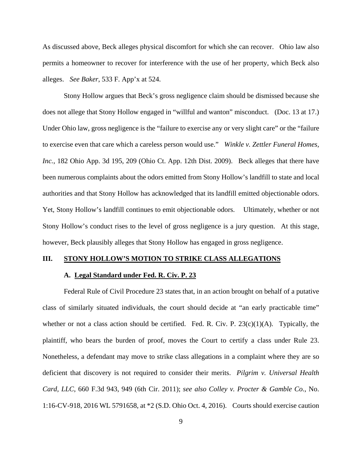As discussed above, Beck alleges physical discomfort for which she can recover. Ohio law also permits a homeowner to recover for interference with the use of her property, which Beck also alleges. *See Baker*, 533 F. App'x at 524.

Stony Hollow argues that Beck's gross negligence claim should be dismissed because she does not allege that Stony Hollow engaged in "willful and wanton" misconduct. (Doc. 13 at 17.) Under Ohio law, gross negligence is the "failure to exercise any or very slight care" or the "failure" to exercise even that care which a careless person would use." *Winkle v. Zettler Funeral Homes, Inc.*, 182 Ohio App. 3d 195, 209 (Ohio Ct. App. 12th Dist. 2009). Beck alleges that there have been numerous complaints about the odors emitted from Stony Hollow's landfill to state and local authorities and that Stony Hollow has acknowledged that its landfill emitted objectionable odors. Yet, Stony Hollow's landfill continues to emit objectionable odors. Ultimately, whether or not Stony Hollow's conduct rises to the level of gross negligence is a jury question. At this stage, however, Beck plausibly alleges that Stony Hollow has engaged in gross negligence.

#### **III. STONY HOLLOW'S MOTION TO STRIKE CLASS ALLEGATIONS**

#### **A. Legal Standard under Fed. R. Civ. P. 23**

Federal Rule of Civil Procedure 23 states that, in an action brought on behalf of a putative class of similarly situated individuals, the court should decide at "an early practicable time" whether or not a class action should be certified. Fed. R. Civ. P.  $23(c)(1)(A)$ . Typically, the plaintiff, who bears the burden of proof, moves the Court to certify a class under Rule 23. Nonetheless, a defendant may move to strike class allegations in a complaint where they are so deficient that discovery is not required to consider their merits. *Pilgrim v. Universal Health Card, LLC*, 660 F.3d 943, 949 (6th Cir. 2011); *see also Colley v. Procter & Gamble Co.*, No. 1:16-CV-918, 2016 WL 5791658, at \*2 (S.D. Ohio Oct. 4, 2016). Courts should exercise caution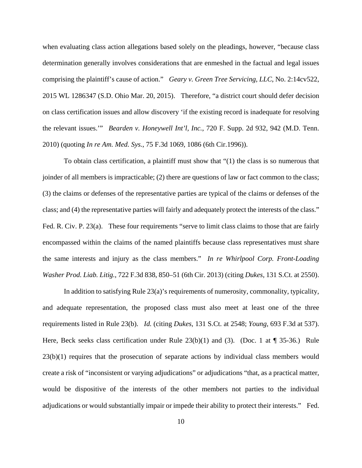when evaluating class action allegations based solely on the pleadings, however, "because class determination generally involves considerations that are enmeshed in the factual and legal issues comprising the plaintiff's cause of action." *Geary v. Green Tree Servicing, LLC*, No. 2:14cv522, 2015 WL 1286347 (S.D. Ohio Mar. 20, 2015). Therefore, "a district court should defer decision on class certification issues and allow discovery 'if the existing record is inadequate for resolving the relevant issues.'" *Bearden v. Honeywell Int'l, Inc.*, 720 F. Supp. 2d 932, 942 (M.D. Tenn. 2010) (quoting *In re Am. Med. Sys.*, 75 F.3d 1069, 1086 (6th Cir.1996)).

To obtain class certification, a plaintiff must show that "(1) the class is so numerous that joinder of all members is impracticable; (2) there are questions of law or fact common to the class; (3) the claims or defenses of the representative parties are typical of the claims or defenses of the class; and (4) the representative parties will fairly and adequately protect the interests of the class." Fed. R. Civ. P. 23(a). These four requirements "serve to limit class claims to those that are fairly encompassed within the claims of the named plaintiffs because class representatives must share the same interests and injury as the class members." *In re Whirlpool Corp. Front-Loading Washer Prod. Liab. Litig.*, 722 F.3d 838, 850–51 (6th Cir. 2013) (citing *Dukes,* 131 S.Ct. at 2550).

In addition to satisfying Rule 23(a)'s requirements of numerosity, commonality, typicality, and adequate representation, the proposed class must also meet at least one of the three requirements listed in Rule 23(b). *Id.* (citing *Dukes,* 131 S.Ct. at 2548; *Young,* 693 F.3d at 537). Here, Beck seeks class certification under Rule  $23(b)(1)$  and (3). (Doc. 1 at  $\P$  35-36.) Rule 23(b)(1) requires that the prosecution of separate actions by individual class members would create a risk of "inconsistent or varying adjudications" or adjudications "that, as a practical matter, would be dispositive of the interests of the other members not parties to the individual adjudications or would substantially impair or impede their ability to protect their interests." Fed.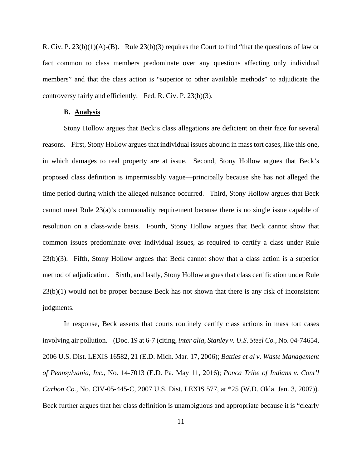R. Civ. P.  $23(b)(1)(A)-(B)$ . Rule  $23(b)(3)$  requires the Court to find "that the questions of law or fact common to class members predominate over any questions affecting only individual members" and that the class action is "superior to other available methods" to adjudicate the controversy fairly and efficiently. Fed. R. Civ. P. 23(b)(3).

#### **B. Analysis**

Stony Hollow argues that Beck's class allegations are deficient on their face for several reasons. First, Stony Hollow argues that individual issues abound in mass tort cases, like this one, in which damages to real property are at issue. Second, Stony Hollow argues that Beck's proposed class definition is impermissibly vague—principally because she has not alleged the time period during which the alleged nuisance occurred. Third, Stony Hollow argues that Beck cannot meet Rule 23(a)'s commonality requirement because there is no single issue capable of resolution on a class-wide basis. Fourth, Stony Hollow argues that Beck cannot show that common issues predominate over individual issues, as required to certify a class under Rule 23(b)(3). Fifth, Stony Hollow argues that Beck cannot show that a class action is a superior method of adjudication. Sixth, and lastly, Stony Hollow argues that class certification under Rule 23(b)(1) would not be proper because Beck has not shown that there is any risk of inconsistent judgments.

In response, Beck asserts that courts routinely certify class actions in mass tort cases involving air pollution. (Doc. 19 at 6-7 (citing, *inter alia*, *Stanley v. U.S. Steel Co.*, No. 04-74654, 2006 U.S. Dist. LEXIS 16582, 21 (E.D. Mich. Mar. 17, 2006); *Batties et al v. Waste Management of Pennsylvania, Inc.*, No. 14-7013 (E.D. Pa. May 11, 2016); *Ponca Tribe of Indians v. Cont'l Carbon Co.*, No. CIV-05-445-C, 2007 U.S. Dist. LEXIS 577, at \*25 (W.D. Okla. Jan. 3, 2007)). Beck further argues that her class definition is unambiguous and appropriate because it is "clearly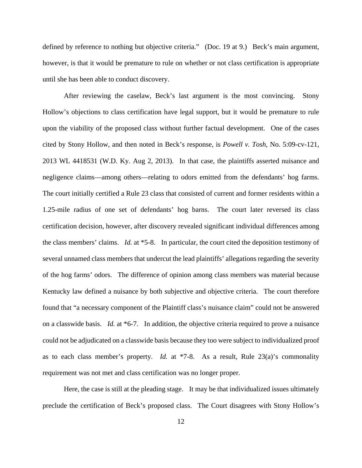defined by reference to nothing but objective criteria." (Doc. 19 at 9.) Beck's main argument, however, is that it would be premature to rule on whether or not class certification is appropriate until she has been able to conduct discovery.

After reviewing the caselaw, Beck's last argument is the most convincing. Stony Hollow's objections to class certification have legal support, but it would be premature to rule upon the viability of the proposed class without further factual development. One of the cases cited by Stony Hollow, and then noted in Beck's response, is *Powell v. Tosh*, No. 5:09-cv-121, 2013 WL 4418531 (W.D. Ky. Aug 2, 2013). In that case, the plaintiffs asserted nuisance and negligence claims—among others—relating to odors emitted from the defendants' hog farms. The court initially certified a Rule 23 class that consisted of current and former residents within a 1.25-mile radius of one set of defendants' hog barns. The court later reversed its class certification decision, however, after discovery revealed significant individual differences among the class members' claims. *Id.* at \*5-8. In particular, the court cited the deposition testimony of several unnamed class members that undercut the lead plaintiffs' allegations regarding the severity of the hog farms' odors. The difference of opinion among class members was material because Kentucky law defined a nuisance by both subjective and objective criteria. The court therefore found that "a necessary component of the Plaintiff class's nuisance claim" could not be answered on a classwide basis. *Id.* at \*6-7. In addition, the objective criteria required to prove a nuisance could not be adjudicated on a classwide basis because they too were subject to individualized proof as to each class member's property. *Id.* at \*7-8. As a result, Rule 23(a)'s commonality requirement was not met and class certification was no longer proper.

Here, the case is still at the pleading stage. It may be that individualized issues ultimately preclude the certification of Beck's proposed class. The Court disagrees with Stony Hollow's